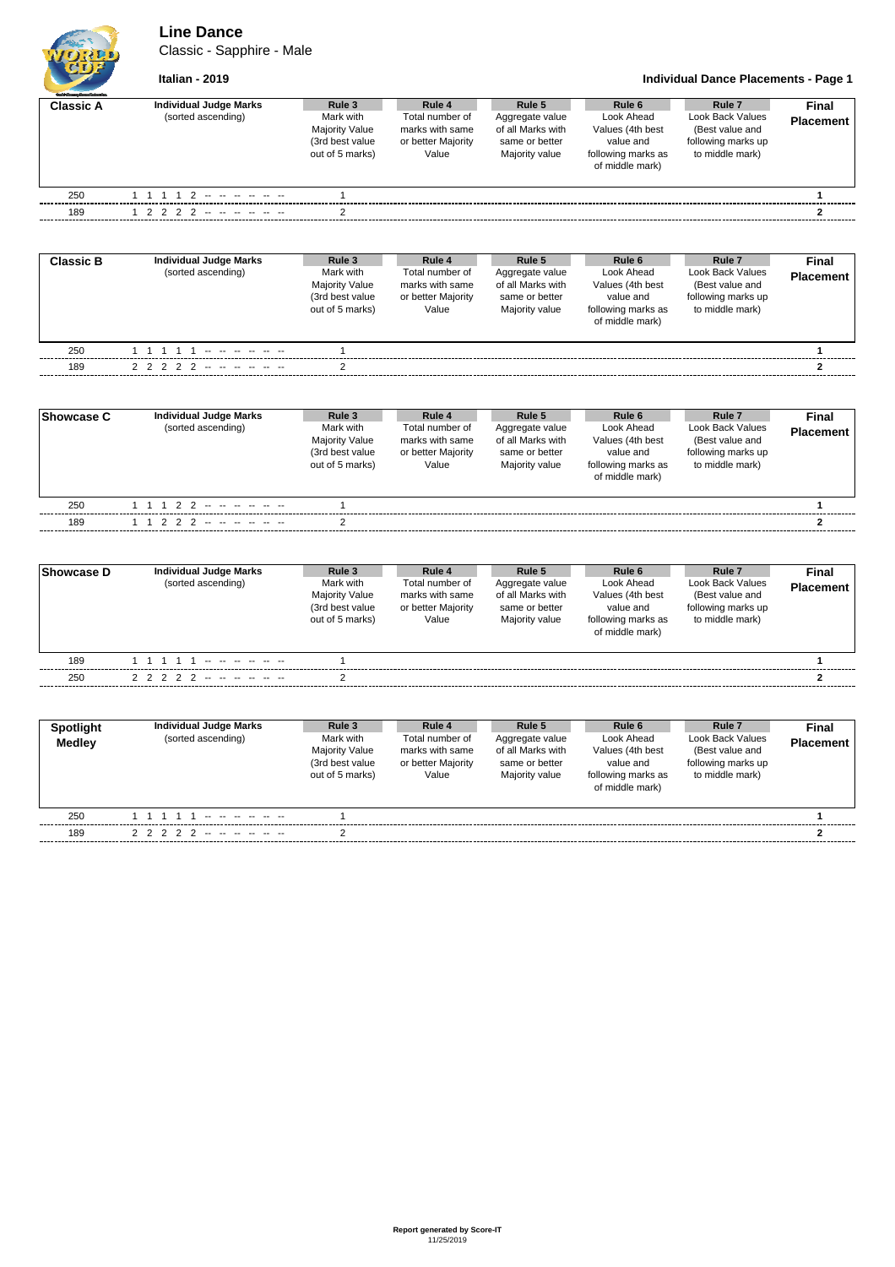**Line Dance**

Classic - Sapphire - Male



**Italian - 2019 Individual Dance Placements - Page 1**

| Grant County Corporation and |                                                     |                                                                                    |                                                                             |                                                                                    |                                                                                                |                                                                                        |                           |
|------------------------------|-----------------------------------------------------|------------------------------------------------------------------------------------|-----------------------------------------------------------------------------|------------------------------------------------------------------------------------|------------------------------------------------------------------------------------------------|----------------------------------------------------------------------------------------|---------------------------|
| <b>Classic A</b>             | <b>Individual Judge Marks</b><br>(sorted ascending) | Rule 3<br>Mark with<br><b>Majority Value</b><br>(3rd best value<br>out of 5 marks) | Rule 4<br>Total number of<br>marks with same<br>or better Majority<br>Value | Rule 5<br>Aggregate value<br>of all Marks with<br>same or better<br>Majority value | Rule 6<br>Look Ahead<br>Values (4th best<br>value and<br>following marks as<br>of middle mark) | Rule 7<br>Look Back Values<br>(Best value and<br>following marks up<br>to middle mark) | Final<br><b>Placement</b> |
| 250                          |                                                     |                                                                                    |                                                                             |                                                                                    |                                                                                                |                                                                                        |                           |
| 189                          | 1 2 2 2 2 -- -- -- -- --                            | ◠                                                                                  |                                                                             |                                                                                    |                                                                                                |                                                                                        | 2                         |
| <b>Classic B</b>             | <b>Individual Judge Marks</b>                       | Rule 3                                                                             | Rule 4                                                                      | Rule 5                                                                             | Rule 6                                                                                         | Rule 7                                                                                 | Final                     |

| ם טופסאיט | marriaaa vaago marko<br>(sorted ascending) | $\sim$<br>Mark with<br><b>Majority Value</b><br>(3rd best value<br>out of 5 marks) | $\sim$<br>Total number of<br>marks with same<br>or better Majority<br>Value | nurv<br>Aggregate value<br>of all Marks with<br>same or better<br>Majority value | $n$ urvu<br>Look Ahead<br>Values (4th best<br>value and<br>following marks as<br>of middle mark) | $n$ urv<br>Look Back Values<br>(Best value and<br>following marks up<br>to middle mark) | гнаг<br><b>Placement</b> |
|-----------|--------------------------------------------|------------------------------------------------------------------------------------|-----------------------------------------------------------------------------|----------------------------------------------------------------------------------|--------------------------------------------------------------------------------------------------|-----------------------------------------------------------------------------------------|--------------------------|
| 250       |                                            |                                                                                    |                                                                             |                                                                                  |                                                                                                  |                                                                                         |                          |
| 189       | 2 2 2 2 2 -- -- - - -                      |                                                                                    |                                                                             |                                                                                  |                                                                                                  |                                                                                         |                          |
|           |                                            |                                                                                    |                                                                             |                                                                                  |                                                                                                  |                                                                                         |                          |

| <b>Showcase C</b> | Individual Judge Marks<br>(sorted ascending) | Rule 3<br>Mark with<br><b>Majority Value</b><br>(3rd best value<br>out of 5 marks) | Rule 4<br>Total number of<br>marks with same<br>or better Majority<br>Value | Rule 5<br>Aggregate value<br>of all Marks with<br>same or better<br>Majority value | Rule 6<br>Look Ahead<br>Values (4th best<br>value and<br>following marks as<br>of middle mark) | Rule <sub>7</sub><br>Look Back Values<br>(Best value and<br>following marks up<br>to middle mark) | Final<br><b>Placement</b> |  |
|-------------------|----------------------------------------------|------------------------------------------------------------------------------------|-----------------------------------------------------------------------------|------------------------------------------------------------------------------------|------------------------------------------------------------------------------------------------|---------------------------------------------------------------------------------------------------|---------------------------|--|
| 250               | 1 1 1 2 2 -- -- -- -- --                     |                                                                                    |                                                                             |                                                                                    |                                                                                                |                                                                                                   |                           |  |
| 189               | 1 1 2 2 2 -- -- -- -- --                     |                                                                                    |                                                                             |                                                                                    |                                                                                                |                                                                                                   |                           |  |

| Showcase D | Individual Judge Marks<br>(sorted ascending) | Rule 3<br>Mark with<br><b>Majority Value</b><br>(3rd best value<br>out of 5 marks) | Rule 4<br>Total number of<br>marks with same<br>or better Majority<br>Value | Rule 5<br>Aggregate value<br>of all Marks with<br>same or better<br>Majority value | Rule 6<br>Look Ahead<br>Values (4th best<br>value and<br>following marks as<br>of middle mark) | Rule 7<br>Look Back Values<br>(Best value and<br>following marks up<br>to middle mark) | Final<br><b>Placement</b> |
|------------|----------------------------------------------|------------------------------------------------------------------------------------|-----------------------------------------------------------------------------|------------------------------------------------------------------------------------|------------------------------------------------------------------------------------------------|----------------------------------------------------------------------------------------|---------------------------|
| 189        | 11111                                        |                                                                                    |                                                                             |                                                                                    |                                                                                                |                                                                                        |                           |
| 250        | 2 2 2 2 2 -- -- -- -- --                     |                                                                                    |                                                                             |                                                                                    |                                                                                                |                                                                                        |                           |

| <b>Spotlight</b><br>Medley | <b>Individual Judge Marks</b><br>(sorted ascending) | Rule 3<br>Mark with<br>Majority Value<br>(3rd best value<br>out of 5 marks) | Rule 4<br>Total number of<br>marks with same<br>or better Majority<br>Value | Rule 5<br>Aggregate value<br>of all Marks with<br>same or better<br>Majority value | Rule 6<br>Look Ahead<br>Values (4th best<br>value and<br>following marks as<br>of middle mark) | Rule <sub>7</sub><br>Look Back Values<br>(Best value and<br>following marks up<br>to middle mark) | <b>Final</b><br><b>Placement</b> |
|----------------------------|-----------------------------------------------------|-----------------------------------------------------------------------------|-----------------------------------------------------------------------------|------------------------------------------------------------------------------------|------------------------------------------------------------------------------------------------|---------------------------------------------------------------------------------------------------|----------------------------------|
| 250                        |                                                     |                                                                             |                                                                             |                                                                                    |                                                                                                |                                                                                                   |                                  |
| 189                        | 2 2 2 2 2 -- -- -- -- --                            |                                                                             |                                                                             |                                                                                    |                                                                                                |                                                                                                   |                                  |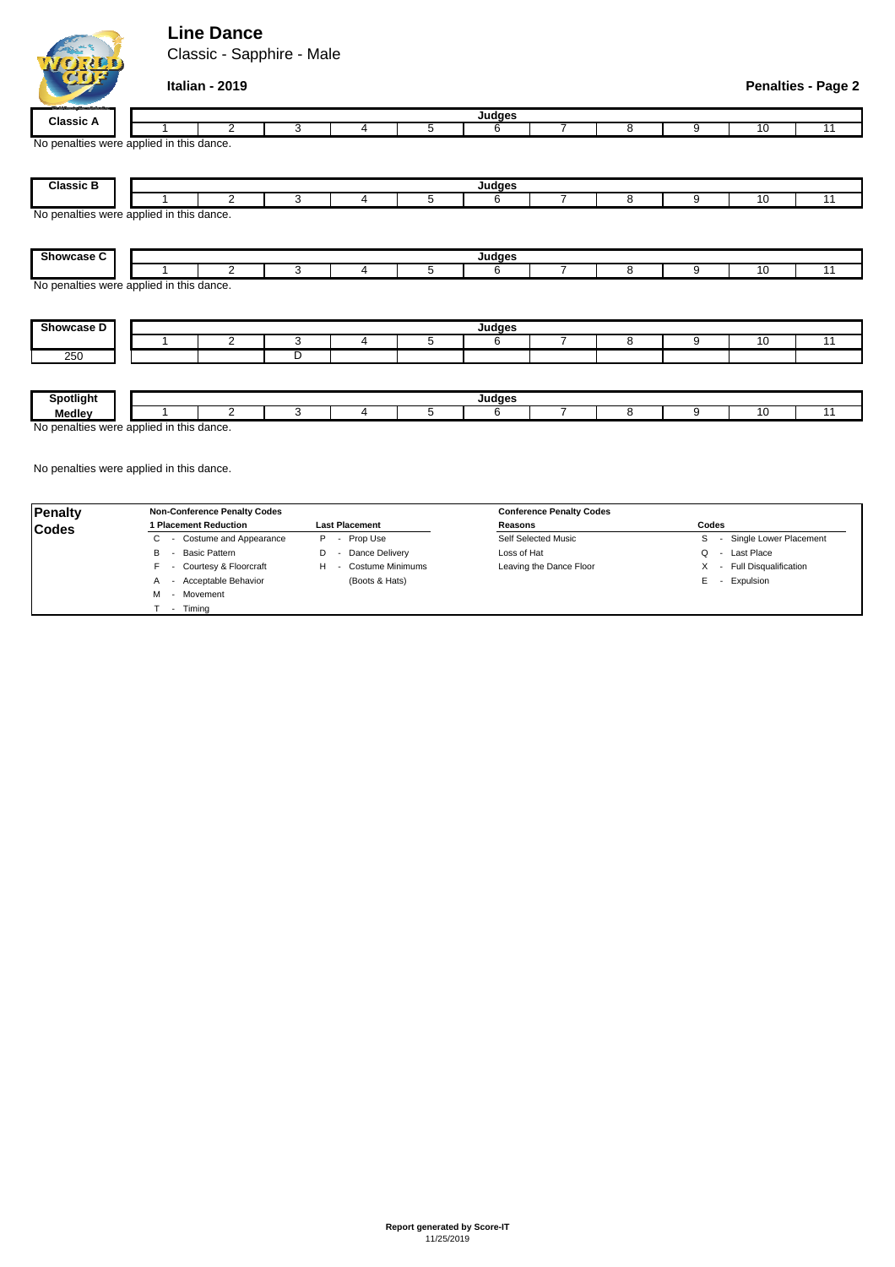## **Line Dance**

Classic - Sapphire - Male



|                                                        | Italian - 2019 |   |   |   |        |                |   |   |    | <b>Penalties - Page 2</b> |
|--------------------------------------------------------|----------------|---|---|---|--------|----------------|---|---|----|---------------------------|
| <b>Classic A</b>                                       |                |   |   |   | Judges |                |   |   |    |                           |
|                                                        | $\overline{2}$ | 3 | 4 | 5 | 6      | 7              | 8 | 9 | 10 | 11                        |
| No penalties were applied in this dance.               |                |   |   |   |        |                |   |   |    |                           |
| <b>Classic B</b>                                       |                |   |   |   | Judges |                |   |   |    |                           |
|                                                        | $\overline{2}$ | 3 | 4 | 5 | 6      | 7              | 8 | 9 | 10 | 11                        |
| Showcase C                                             |                |   |   |   | Judges |                |   |   |    |                           |
|                                                        | 2              | 3 | 4 | 5 | 6      | $\overline{7}$ | 8 | 9 | 10 | 11                        |
| No penalties were applied in this dance.<br>Showcase D |                |   |   |   | Judges |                |   |   |    |                           |
|                                                        | $\overline{2}$ | 3 | 4 | 5 | 6      | $\overline{7}$ | 8 | 9 | 10 | 11                        |
| 250                                                    |                | D |   |   |        |                |   |   |    |                           |
|                                                        |                |   |   |   |        |                |   |   |    |                           |
| Spotlight                                              |                |   |   |   | Judges |                |   |   |    |                           |
| <b>Medley</b>                                          | $\overline{2}$ | 3 | 4 | 5 | 6      | 7              | 8 | 9 | 10 | 11                        |

No penalties were applied in this dance.

| Penalty      | <b>Non-Conference Penalty Codes</b> |                          | <b>Conference Penalty Codes</b> |                           |
|--------------|-------------------------------------|--------------------------|---------------------------------|---------------------------|
| <b>Codes</b> | l Placement Reduction               | <b>Last Placement</b>    | Reasons                         | Codes                     |
|              | - Costume and Appearance<br>U       | - Prop Use<br>P          | Self Selected Music             | - Single Lower Placement  |
|              | Basic Pattern<br>в                  | Dance Delivery<br>$\sim$ | Loss of Hat                     | - Last Place<br>$\Omega$  |
|              | - Courtesy & Floorcraft             | Costume Minimums         | Leaving the Dance Floor         | X - Full Disqualification |
|              | - Acceptable Behavior<br>A          | (Boots & Hats)           |                                 | E - Expulsion             |
|              | - Movement<br>м                     |                          |                                 |                           |
|              | Timina                              |                          |                                 |                           |